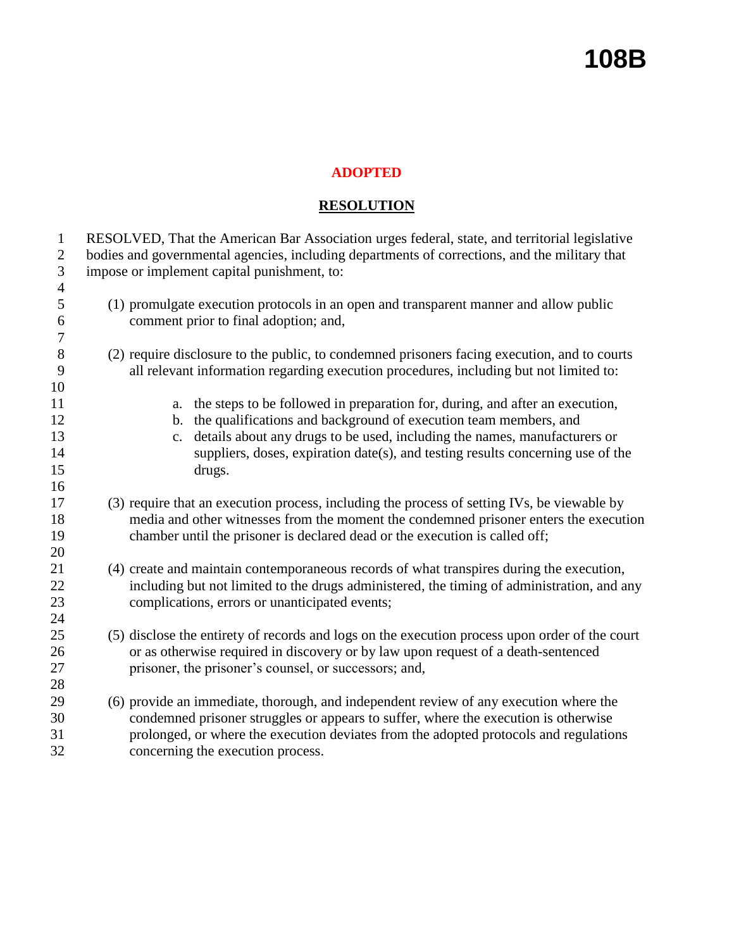## **108B**

## **ADOPTED**

## **RESOLUTION**

| $\mathbf{1}$<br>$\overline{2}$<br>3 | RESOLVED, That the American Bar Association urges federal, state, and territorial legislative<br>bodies and governmental agencies, including departments of corrections, and the military that<br>impose or implement capital punishment, to: |
|-------------------------------------|-----------------------------------------------------------------------------------------------------------------------------------------------------------------------------------------------------------------------------------------------|
| $\overline{4}$                      |                                                                                                                                                                                                                                               |
| 5                                   | (1) promulgate execution protocols in an open and transparent manner and allow public                                                                                                                                                         |
| 6                                   | comment prior to final adoption; and,                                                                                                                                                                                                         |
| 7                                   |                                                                                                                                                                                                                                               |
| 8                                   | (2) require disclosure to the public, to condemned prisoners facing execution, and to courts                                                                                                                                                  |
| 9                                   | all relevant information regarding execution procedures, including but not limited to:                                                                                                                                                        |
| 10                                  |                                                                                                                                                                                                                                               |
| 11                                  | the steps to be followed in preparation for, during, and after an execution,<br>a.                                                                                                                                                            |
| 12                                  | the qualifications and background of execution team members, and<br>b.                                                                                                                                                                        |
| 13                                  | details about any drugs to be used, including the names, manufacturers or<br>$C_{\bullet}$                                                                                                                                                    |
| 14                                  | suppliers, doses, expiration date(s), and testing results concerning use of the                                                                                                                                                               |
| 15                                  | drugs.                                                                                                                                                                                                                                        |
| 16                                  |                                                                                                                                                                                                                                               |
| 17                                  | (3) require that an execution process, including the process of setting IVs, be viewable by                                                                                                                                                   |
| 18                                  | media and other witnesses from the moment the condemned prisoner enters the execution                                                                                                                                                         |
| 19                                  | chamber until the prisoner is declared dead or the execution is called off;                                                                                                                                                                   |
| 20                                  |                                                                                                                                                                                                                                               |
| 21                                  | (4) create and maintain contemporaneous records of what transpires during the execution,                                                                                                                                                      |
| 22                                  | including but not limited to the drugs administered, the timing of administration, and any                                                                                                                                                    |
| 23                                  | complications, errors or unanticipated events;                                                                                                                                                                                                |
| 24                                  |                                                                                                                                                                                                                                               |
| 25                                  | (5) disclose the entirety of records and logs on the execution process upon order of the court                                                                                                                                                |
| 26                                  | or as otherwise required in discovery or by law upon request of a death-sentenced                                                                                                                                                             |
| 27                                  | prisoner, the prisoner's counsel, or successors; and,                                                                                                                                                                                         |
| 28                                  |                                                                                                                                                                                                                                               |
| 29                                  | (6) provide an immediate, thorough, and independent review of any execution where the                                                                                                                                                         |
| 30                                  | condemned prisoner struggles or appears to suffer, where the execution is otherwise                                                                                                                                                           |
| 31                                  | prolonged, or where the execution deviates from the adopted protocols and regulations                                                                                                                                                         |
| 32                                  | concerning the execution process.                                                                                                                                                                                                             |
|                                     |                                                                                                                                                                                                                                               |